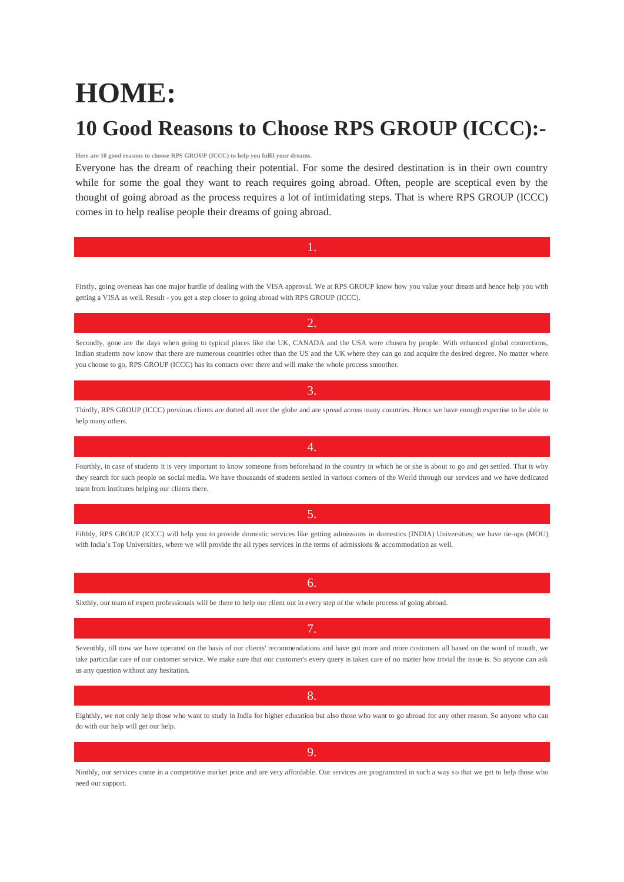# **HOME: 10 Good Reasons to Choose RPS GROUP (ICCC):-**

### **Here are 10 good reasons to choose RPS GROUP (ICCC) to help you fulfil your dreams.**

Everyone has the dream of reaching their potential. For some the desired destination is in their own country while for some the goal they want to reach requires going abroad. Often, people are sceptical even by the thought of going abroad as the process requires a lot of intimidating steps. That is where RPS GROUP (ICCC) comes in to help realise people their dreams of going abroad.

Firstly, going overseas has one major hurdle of dealing with the VISA approval. We at RPS GROUP know how you value your dream and hence help you with getting a VISA as well. Result - you get a step closer to going abroad with RPS GROUP (ICCC).

2.

1.

Secondly, gone are the days when going to typical places like the UK, CANADA and the USA were chosen by people. With enhanced global connections, Indian students now know that there are numerous countries other than the US and the UK where they can go and acquire the desired degree. No matter where you choose to go, RPS GROUP (ICCC) has its contacts over there and will make the whole process smoother.

Thirdly, RPS GROUP (ICCC) previous clients are dotted all over the globe and are spread across many countries. Hence we have enough expertise to be able to help many others.

3.

Fourthly, in case of students it is very important to know someone from beforehand in the country in which he or she is about to go and get settled. That is why they search for such people on social media. We have thousands of students settled in various corners of the World through our services and we have dedicated team from institutes helping our clients there.

4.

Fifthly, RPS GROUP (ICCC) will help you to provide domestic services like getting admissions in domestics (INDIA) Universities; we have tie-ups (MOU) with India's Top Universities, where we will provide the all types services in the terms of admissions & accommodation as well.

5.

Sixthly, our team of expert professionals will be there to help our client out in every step of the whole process of going abroad.

Seventhly, till now we have operated on the basis of our clients' recommendations and have got more and more customers all based on the word of mouth, we take particular care of our customer service. We make sure that our customer's every query is taken care of no matter how trivial the issue is. So anyone can ask us any question without any hesitation.

Eighthly, we not only help those who want to study in India for higher education but also those who want to go abroad for any other reason. So anyone who can do with our help will get our help.

Ninthly, our services come in a competitive market price and are very affordable. Our services are programmed in such a way so that we get to help those who need our support.

9.

### 7.

## 6.

## 8.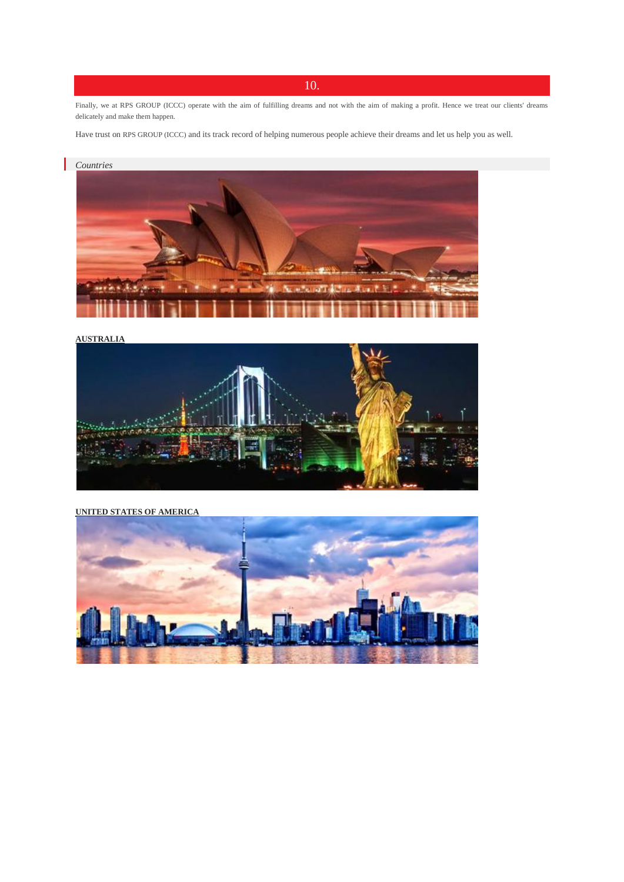## 10.

Finally, we at RPS GROUP (ICCC) operate with the aim of fulfilling dreams and not with the aim of making a profit. Hence we treat our clients' dreams delicately and make them happen.

Have trust on RPS GROUP (ICCC) and its track record of helping numerous people achieve their dreams and let us help you as well.



**[AUSTRALIA](http://www.aumglobal.com/australia_immigration_consultant.htm)**



**UNITED STATES OF [AMERICA](http://www.aumglobal.com/usa_immigration_consultant.htm)**